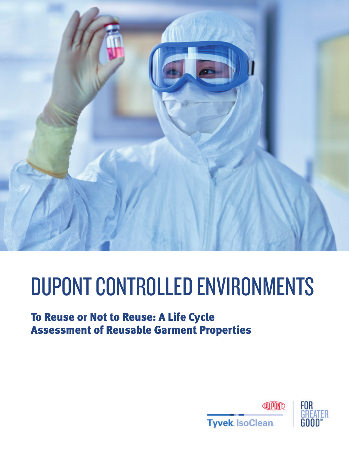

# DUPONT CONTROLLED ENVIRONMENTS

# To Reuse or Not to Reuse: A Life Cycle Assessment of Reusable Garment Properties

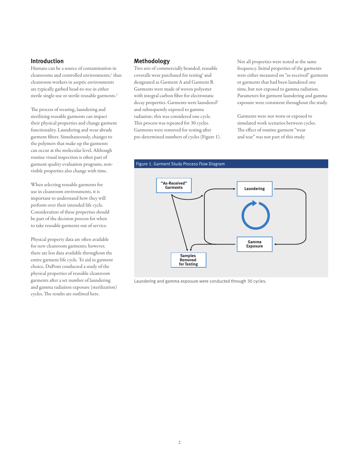# **Introduction**

Humans can be a source of contamination in cleanrooms and controlled environments;<sup>1</sup> thus cleanroom workers in aseptic environments are typically garbed head-to-toe in either sterile single-use or sterile reusable garments.<sup>2</sup>

The process of wearing, laundering and sterilizing reusable garments can impact their physical properties and change garment functionality. Laundering and wear abrade garment fibers. Simultaneously, changes to the polymers that make up the garments can occur at the molecular level. Although routine visual inspection is often part of garment quality evaluation programs, nonvisible properties also change with time.

When selecting reusable garments for use in cleanroom environments, it is important to understand how they will perform over their intended life cycle. Consideration of these properties should be part of the decision process for when to take reusable garments out of service.

Physical property data are often available for new cleanroom garments; however, there are less data available throughout the entire garment life cycle. To aid in garment choice, DuPont conducted a study of the physical properties of reusable cleanroom garments after a set number of laundering and gamma radiation exposure (sterilization) cycles. The results are outlined here.

# **Methodology**

Two sets of commercially branded, reusable coveralls were purchased for testing<sup>3</sup> and designated as Garment A and Garment B. Garments were made of woven polyester with integral carbon fiber for electrostatic decay properties. Garments were laundered<sup>4</sup> and subsequently exposed to gamma radiation; this was considered one cycle. This process was repeated for 30 cycles. Garments were removed for testing after pre-determined numbers of cycles (Figure 1). Not all properties were tested at the same frequency. Initial properties of the garments were either measured on "as-received" garments or garments that had been laundered one time, but not exposed to gamma radiation. Parameters for garment laundering and gamma exposure were consistent throughout the study.

Garments were not worn or exposed to simulated work scenarios between cycles. The effect of routine garment "wear and tear" was not part of this study.



Laundering and gamma exposure were conducted through 30 cycles.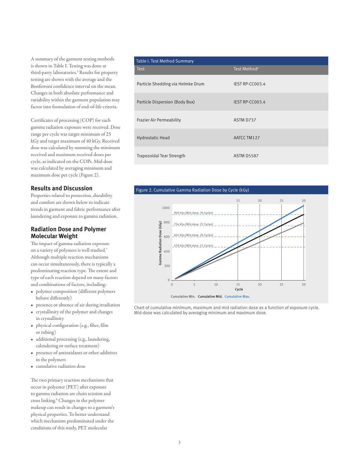A summary of the garment testing methods is shown in Table I. Testing was done at third-party laboratories.5 Results for property testing are shown with the average and the Bonferroni confidence interval on the mean. Changes in both absolute performance and variability within the garment population may factor into formulation of end-of-life criteria.

Certificates of processing (COP) for each gamma radiation exposure were received. Dose range per cycle was target minimum of 25 kGy and target maximum of 40 kGy. Received dose was calculated by summing the minimum received and maximum received doses per cycle, as indicated on the COPs. Mid-dose was calculated by averaging minimum and maximum dose per cycle (Figure 2).

# **Results and Discussion**

Properties related to protection, durability and comfort are shown below to indicate trends in garment and fabric performance after laundering and exposure to gamma radiation.

# **Radiation Dose and Polymer Molecular Weight**

The impact of gamma radiation exposure on a variety of polymers is well studied.7 Although multiple reaction mechanisms can occur simultaneously, there is typically a predominating reaction type. The extent and type of each reaction depend on many factors and combinations of factors, including:

- polymer composition (different polymers behave differently)
- presence or absence of air during irradiation
- crystallinity of the polymer and changes in crystallinity
- physical configuration (e.g., fiber, film or tubing)
- additional processing (e.g., laundering, calendering or surface treatment)
- presence of antioxidants or other additives in the polymers
- cumulative radiation dose

The two primary reaction mechanisms that occur in polyester (PET) after exposure to gamma radiation are chain scission and cross linking.8 Changes in the polymer makeup can result in changes to a garment's physical properties. To better understand which mechanism predominated under the conditions of this study, PET molecular

| Table I. Test Method Summary      |                          |
|-----------------------------------|--------------------------|
| <b>Test</b>                       | Test Method <sup>6</sup> |
| Particle Shedding via Helmke Drum | IEST RP-CC003.4          |
| Particle Dispersion (Body Box)    | <b>IEST RP-CC003.4</b>   |
| <b>Frazier Air Permeability</b>   | ASTM D737                |
| <b>Hydrostatic Head</b>           | AATCC TM127              |
| <b>Trapezoidal Tear Strength</b>  | <b>ASTM D5587</b>        |





Chart of cumulative minimum, maximum and mid radiation dose as a function of exposure cycle. Mid-dose was calculated by averaging minimum and maximum dose.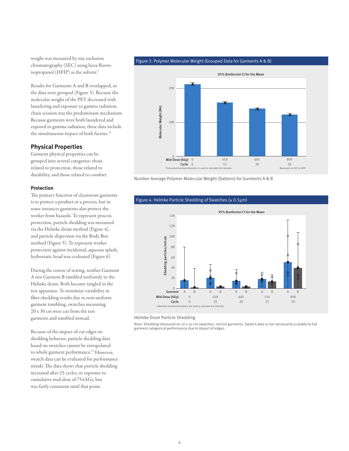weight was measured by size exclusion chromatography (SEC) using hexa-fluoroisopropanol (HFIP) as the solvent.<sup>9</sup>

Results for Garments A and B overlapped, so the data were grouped (Figure 3). Because the molecular weight of the PET decreased with laundering and exposure to gamma radiation, chain scission was the predominant mechanism. Because garments were both laundered and exposed to gamma radiation, these data include the simultaneous impact of both factors.<sup>10</sup>

# **Physical Properties**

Garment physical properties can be grouped into several categories: those related to protection, those related to durability, and those related to comfort.

#### **Protection**

The primary function of cleanroom garments is to protect a product or a process, but in some instances garments also protect the worker from hazards. To represent process protection, particle shedding was measured via the Helmke drum method (Figure 4), and particle dispersion via the Body Box method (Figure 5). To represent worker protection against incidental, aqueous splash, hydrostatic head was evaluated (Figure 6).

During the course of testing, neither Garment A nor Garment B tumbled uniformly in the Helmke drum. Both became tangled in the test apparatus. To minimize variability in fiber-shedding results due to non-uniform garment tumbling, swatches measuring 20 x 30 cm were cut from the test garments and tumbled instead.

Because of the impact of cut edges on shedding behavior, particle shedding data based on swatches cannot be extrapolated to whole garment performance.<sup>11</sup> However, swatch data can be evaluated for performance trends. The data shows that particle shedding increased after 25 cycles, or exposure to cumulative mid-dose of 754 kGy, but was fairly consistent until that point.





Number Average Polymer Molecular Weight (Daltons) for Garments A & B



Figure 4. Helmke Particle Shedding of Swatches (≥ 0.5µm)

Helmke Drum Particle Shedding

Note: Shedding measured on 20 x 30 cm swatches, not full garments. Swatch data is not necessarily scalable to full garment categorical performance due to impact of edges.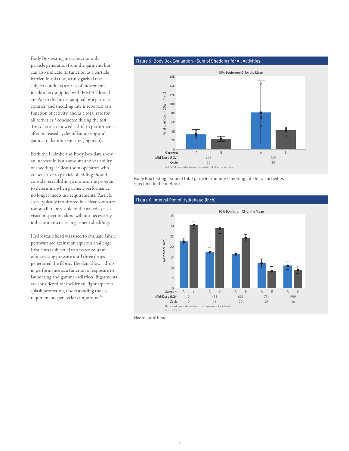Body Box testing measures not only particle generation from the garment, but can also indicate its function as a particle barrier. In this test, a fully garbed test subject conducts a series of movements inside a box supplied with HEPA-filtered air. Air in the box is sampled by a particle counter, and shedding rate is reported as a function of activity, and as a total rate for all activities<sup>12</sup> conducted during the test. This data also showed a shift in performance after increased cycles of laundering and gamma radiation exposure (Figure 5).

Both the Helmke and Body Box data show an increase in both amount and variability of shedding.13 Cleanroom operators who are sensitive to particle shedding should consider establishing a monitoring program to determine when garment performance no longer meets use requirements. Particle sizes typically monitored in a cleanroom are too small to be visible to the naked eye, so visual inspection alone will not necessarily indicate an increase in garment shedding.

Hydrostatic head was used to evaluate fabric performance against an aqueous challenge. Fabric was subjected to a water column of increasing pressure until three drops penetrated the fabric. The data show a drop in performance as a function of exposure to laundering and gamma radiation. If garments are considered for incidental, light aqueous splash protection, understanding the use requirements per cycle is important.<sup>14</sup>

#### Figure 5. Body Box Evaluation—Sum of Shedding for All Activities



Body Box testing—sum of total particles/minute shedding rate for all activities specified in the method



Hydrostatic head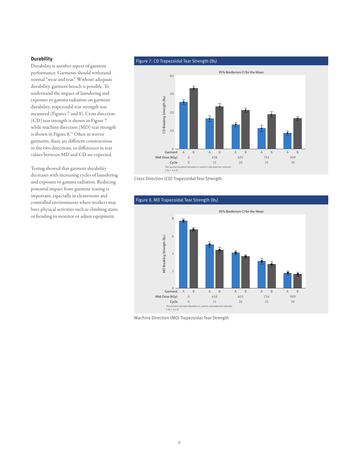# **Durability**

Durability is another aspect of garment performance. Garments should withstand normal "wear and tear." Without adequate durability, garment breach is possible. To understand the impact of laundering and exposure to gamma radiation on garment durability, trapezoidal tear strength was measured (Figures 7 and 8). Cross direction (CD) tear strength is shown in Figure 7 while machine direction (MD) tear strength is shown in Figure 8.15 Often in woven garments, there are different constructions in the two directions, so differences in tear values between MD and CD are expected.

Testing showed that garment durability decreases with increasing cycles of laundering and exposure to gamma radiation. Reducing potential impact from garment tearing is important, especially in cleanrooms and controlled environments where workers may have physical activities such as climbing stairs or bending to monitor or adjust equipment.

#### Figure 7. CD Trapezoidal Tear Strength  $(lb)$



Cross Direction (CD) Trapezoidal Tear Strength



Machine Direction (MD) Trapezoidal Tear Strength

# Figure 8. MD Trapezoidal Tear Strength (lb $_i$ )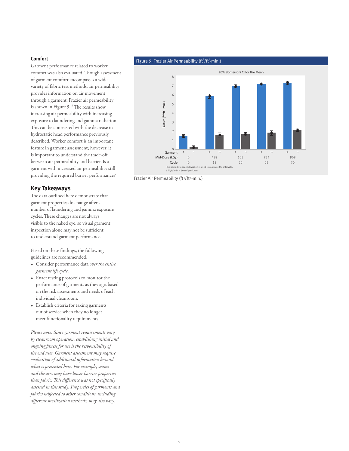## **Comfort**

Garment performance related to worker comfort was also evaluated. Though assessment of garment comfort encompasses a wide variety of fabric test methods, air permeability provides information on air movement through a garment. Frazier air permeability is shown in Figure 9.16 The results show increasing air permeability with increasing exposure to laundering and gamma radiation. This can be contrasted with the decrease in hydrostatic head performance previously described. Worker comfort is an important feature in garment assessment; however, it is important to understand the trade-off between air permeability and barrier. Is a garment with increased air permeability still providing the required barrier performance?

## **Key Takeaways**

The data outlined here demonstrate that garment properties do change after a number of laundering and gamma exposure cycles. These changes are not always visible to the naked eye, so visual garment inspection alone may not be sufficient to understand garment performance.

Based on these findings, the following guidelines are recommended:

- Consider performance data *over the entire garment life cycle*.
- Enact testing protocols to monitor the performance of garments as they age, based on the risk assessments and needs of each individual cleanroom.
- Establish criteria for taking garments out of service when they no longer meet functionality requirements.

*Please note: Since garment requirements vary by cleanroom operation, establishing initial and ongoing fitness for use is the responsibility of the end user. Garment assessment may require evaluation of additional information beyond what is presented here. For example, seams and closures may have lower barrier properties than fabric. This difference was not specifically assessed in this study. Properties of garments and fabrics subjected to other conditions, including different sterilization methods, may also vary.* 

#### Figure 9. Frazier Air Permeability ( $\text{ft}^3/\text{ft}^2$ -min.)



Frazier Air Permeability (ft<sup>3</sup>/ft<sup>2</sup>-min.)